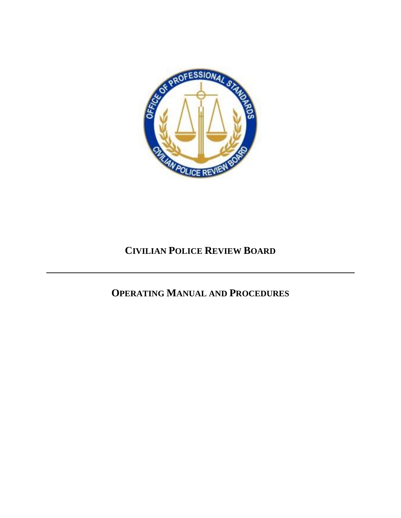

# **CIVILIAN POLICE REVIEW BOARD**

# **OPERATING MANUAL AND PROCEDURES**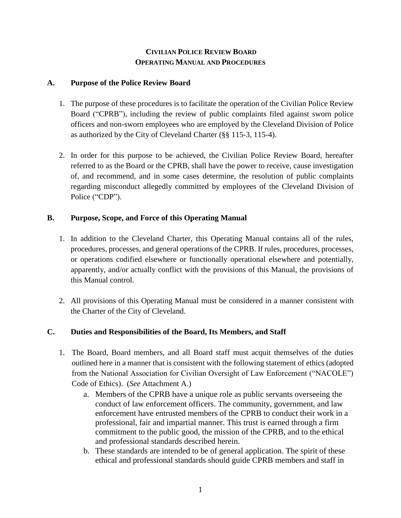# **CIVILIAN POLICE REVIEW BOARD OPERATING MANUAL AND PROCEDURES**

## **A. Purpose of the Police Review Board**

- 1. The purpose of these procedures is to facilitate the operation of the Civilian Police Review Board ("CPRB"), including the review of public complaints filed against sworn police officers and non-sworn employees who are employed by the Cleveland Division of Police as authorized by the City of Cleveland Charter (§§ 115-3, 115-4).
- 2. In order for this purpose to be achieved, the Civilian Police Review Board, hereafter referred to as the Board or the CPRB, shall have the power to receive, cause investigation of, and recommend, and in some cases determine, the resolution of public complaints regarding misconduct allegedly committed by employees of the Cleveland Division of Police ("CDP").

# **B. Purpose, Scope, and Force of this Operating Manual**

- 1. In addition to the Cleveland Charter, this Operating Manual contains all of the rules, procedures, processes, and general operations of the CPRB. If rules, procedures, processes, or operations codified elsewhere or functionally operational elsewhere and potentially, apparently, and/or actually conflict with the provisions of this Manual, the provisions of this Manual control.
- 2. All provisions of this Operating Manual must be considered in a manner consistent with the Charter of the City of Cleveland.

# **C. Duties and Responsibilities of the Board, Its Members, and Staff**

- 1. The Board, Board members, and all Board staff must acquit themselves of the duties outlined here in a manner that is consistent with the following statement of ethics (adopted from the National Association for Civilian Oversight of Law Enforcement ("NACOLE") Code of Ethics). (*See* Attachment A.)
	- a. Members of the CPRB have a unique role as public servants overseeing the conduct of law enforcement officers. The community, government, and law enforcement have entrusted members of the CPRB to conduct their work in a professional, fair and impartial manner. This trust is earned through a firm commitment to the public good, the mission of the CPRB, and to the ethical and professional standards described herein.
	- b. These standards are intended to be of general application. The spirit of these ethical and professional standards should guide CPRB members and staff in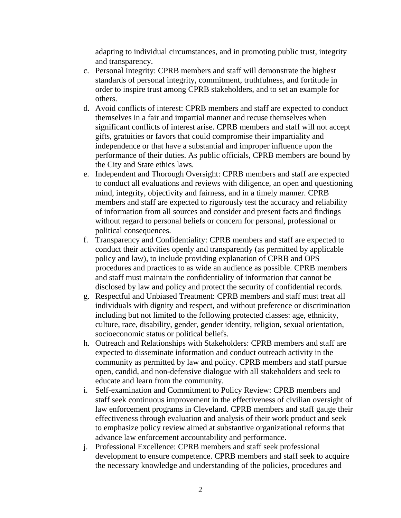adapting to individual circumstances, and in promoting public trust, integrity and transparency.

- c. Personal Integrity: CPRB members and staff will demonstrate the highest standards of personal integrity, commitment, truthfulness, and fortitude in order to inspire trust among CPRB stakeholders, and to set an example for others.
- d. Avoid conflicts of interest: CPRB members and staff are expected to conduct themselves in a fair and impartial manner and recuse themselves when significant conflicts of interest arise. CPRB members and staff will not accept gifts, gratuities or favors that could compromise their impartiality and independence or that have a substantial and improper influence upon the performance of their duties. As public officials, CPRB members are bound by the City and State ethics laws.
- e. Independent and Thorough Oversight: CPRB members and staff are expected to conduct all evaluations and reviews with diligence, an open and questioning mind, integrity, objectivity and fairness, and in a timely manner. CPRB members and staff are expected to rigorously test the accuracy and reliability of information from all sources and consider and present facts and findings without regard to personal beliefs or concern for personal, professional or political consequences.
- f. Transparency and Confidentiality: CPRB members and staff are expected to conduct their activities openly and transparently (as permitted by applicable policy and law), to include providing explanation of CPRB and OPS procedures and practices to as wide an audience as possible. CPRB members and staff must maintain the confidentiality of information that cannot be disclosed by law and policy and protect the security of confidential records.
- g. Respectful and Unbiased Treatment: CPRB members and staff must treat all individuals with dignity and respect, and without preference or discrimination including but not limited to the following protected classes: age, ethnicity, culture, race, disability, gender, gender identity, religion, sexual orientation, socioeconomic status or political beliefs.
- h. Outreach and Relationships with Stakeholders: CPRB members and staff are expected to disseminate information and conduct outreach activity in the community as permitted by law and policy. CPRB members and staff pursue open, candid, and non-defensive dialogue with all stakeholders and seek to educate and learn from the community.
- i. Self-examination and Commitment to Policy Review: CPRB members and staff seek continuous improvement in the effectiveness of civilian oversight of law enforcement programs in Cleveland. CPRB members and staff gauge their effectiveness through evaluation and analysis of their work product and seek to emphasize policy review aimed at substantive organizational reforms that advance law enforcement accountability and performance.
- j. Professional Excellence: CPRB members and staff seek professional development to ensure competence. CPRB members and staff seek to acquire the necessary knowledge and understanding of the policies, procedures and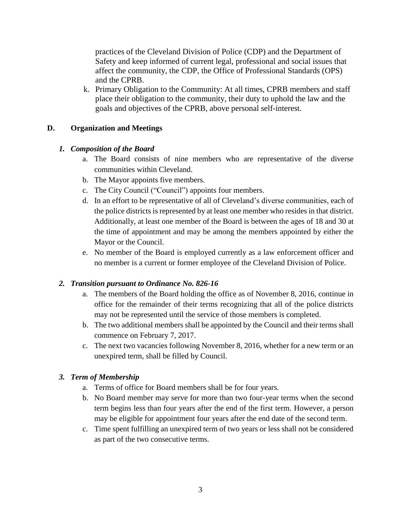practices of the Cleveland Division of Police (CDP) and the Department of Safety and keep informed of current legal, professional and social issues that affect the community, the CDP, the Office of Professional Standards (OPS) and the CPRB.

k. Primary Obligation to the Community: At all times, CPRB members and staff place their obligation to the community, their duty to uphold the law and the goals and objectives of the CPRB, above personal self-interest.

# **D. Organization and Meetings**

# *1. Composition of the Board*

- a. The Board consists of nine members who are representative of the diverse communities within Cleveland.
- b. The Mayor appoints five members.
- c. The City Council ("Council") appoints four members.
- d. In an effort to be representative of all of Cleveland's diverse communities, each of the police districts is represented by at least one member who resides in that district. Additionally, at least one member of the Board is between the ages of 18 and 30 at the time of appointment and may be among the members appointed by either the Mayor or the Council.
- e. No member of the Board is employed currently as a law enforcement officer and no member is a current or former employee of the Cleveland Division of Police.

#### *2. Transition pursuant to Ordinance No. 826-16*

- a. The members of the Board holding the office as of November 8, 2016, continue in office for the remainder of their terms recognizing that all of the police districts may not be represented until the service of those members is completed.
- b. The two additional members shall be appointed by the Council and their terms shall commence on February 7, 2017.
- c. The next two vacancies following November 8, 2016, whether for a new term or an unexpired term, shall be filled by Council.

#### *3. Term of Membership*

- a. Terms of office for Board members shall be for four years.
- b. No Board member may serve for more than two four-year terms when the second term begins less than four years after the end of the first term. However, a person may be eligible for appointment four years after the end date of the second term.
- c. Time spent fulfilling an unexpired term of two years or less shall not be considered as part of the two consecutive terms.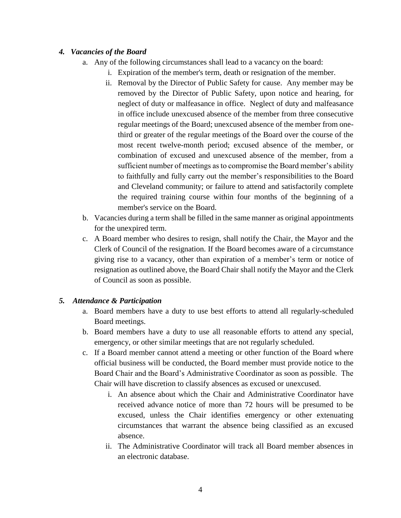# *4. Vacancies of the Board*

- a. Any of the following circumstances shall lead to a vacancy on the board:
	- i. Expiration of the member's term, death or resignation of the member.
		- ii. Removal by the Director of Public Safety for cause. Any member may be removed by the Director of Public Safety, upon notice and hearing, for neglect of duty or malfeasance in office. Neglect of duty and malfeasance in office include unexcused absence of the member from three consecutive regular meetings of the Board; unexcused absence of the member from onethird or greater of the regular meetings of the Board over the course of the most recent twelve-month period; excused absence of the member, or combination of excused and unexcused absence of the member, from a sufficient number of meetings as to compromise the Board member's ability to faithfully and fully carry out the member's responsibilities to the Board and Cleveland community; or failure to attend and satisfactorily complete the required training course within four months of the beginning of a member's service on the Board.
- b. Vacancies during a term shall be filled in the same manner as original appointments for the unexpired term.
- c. A Board member who desires to resign, shall notify the Chair, the Mayor and the Clerk of Council of the resignation. If the Board becomes aware of a circumstance giving rise to a vacancy, other than expiration of a member's term or notice of resignation as outlined above, the Board Chair shall notify the Mayor and the Clerk of Council as soon as possible.

# *5. Attendance & Participation*

- a. Board members have a duty to use best efforts to attend all regularly-scheduled Board meetings.
- b. Board members have a duty to use all reasonable efforts to attend any special, emergency, or other similar meetings that are not regularly scheduled.
- c. If a Board member cannot attend a meeting or other function of the Board where official business will be conducted, the Board member must provide notice to the Board Chair and the Board's Administrative Coordinator as soon as possible. The Chair will have discretion to classify absences as excused or unexcused.
	- i. An absence about which the Chair and Administrative Coordinator have received advance notice of more than 72 hours will be presumed to be excused, unless the Chair identifies emergency or other extenuating circumstances that warrant the absence being classified as an excused absence.
	- ii. The Administrative Coordinator will track all Board member absences in an electronic database.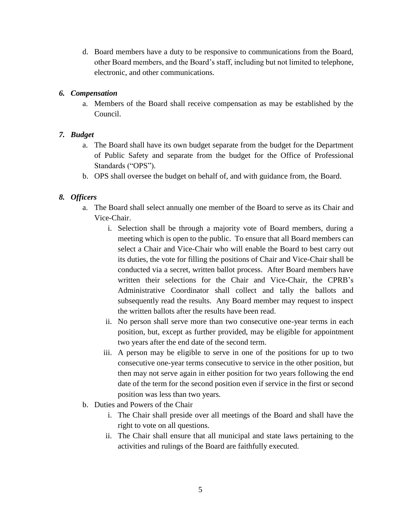d. Board members have a duty to be responsive to communications from the Board, other Board members, and the Board's staff, including but not limited to telephone, electronic, and other communications.

#### *6. Compensation*

a. Members of the Board shall receive compensation as may be established by the Council.

# *7. Budget*

- a. The Board shall have its own budget separate from the budget for the Department of Public Safety and separate from the budget for the Office of Professional Standards ("OPS").
- b. OPS shall oversee the budget on behalf of, and with guidance from, the Board.

# *8. Officers*

- a. The Board shall select annually one member of the Board to serve as its Chair and Vice-Chair.
	- i. Selection shall be through a majority vote of Board members, during a meeting which is open to the public. To ensure that all Board members can select a Chair and Vice-Chair who will enable the Board to best carry out its duties, the vote for filling the positions of Chair and Vice-Chair shall be conducted via a secret, written ballot process. After Board members have written their selections for the Chair and Vice-Chair, the CPRB's Administrative Coordinator shall collect and tally the ballots and subsequently read the results. Any Board member may request to inspect the written ballots after the results have been read.
	- ii. No person shall serve more than two consecutive one-year terms in each position, but, except as further provided, may be eligible for appointment two years after the end date of the second term.
	- iii. A person may be eligible to serve in one of the positions for up to two consecutive one-year terms consecutive to service in the other position, but then may not serve again in either position for two years following the end date of the term for the second position even if service in the first or second position was less than two years.
- b. Duties and Powers of the Chair
	- i. The Chair shall preside over all meetings of the Board and shall have the right to vote on all questions.
	- ii. The Chair shall ensure that all municipal and state laws pertaining to the activities and rulings of the Board are faithfully executed.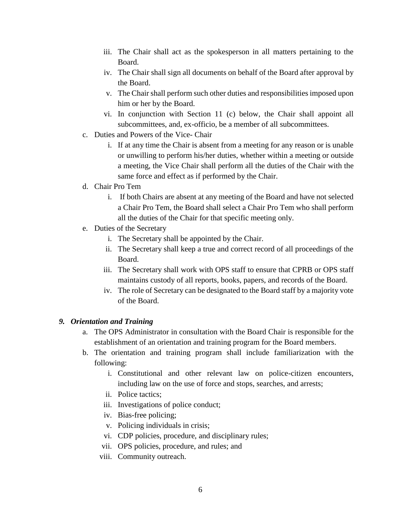- iii. The Chair shall act as the spokesperson in all matters pertaining to the Board.
- iv. The Chair shall sign all documents on behalf of the Board after approval by the Board.
- v. The Chair shall perform such other duties and responsibilities imposed upon him or her by the Board.
- vi. In conjunction with Section 11 (c) below, the Chair shall appoint all subcommittees, and, ex-officio, be a member of all subcommittees.
- c. Duties and Powers of the Vice- Chair
	- i. If at any time the Chair is absent from a meeting for any reason or is unable or unwilling to perform his/her duties, whether within a meeting or outside a meeting, the Vice Chair shall perform all the duties of the Chair with the same force and effect as if performed by the Chair.
- d. Chair Pro Tem
	- i. If both Chairs are absent at any meeting of the Board and have not selected a Chair Pro Tem, the Board shall select a Chair Pro Tem who shall perform all the duties of the Chair for that specific meeting only.
- e. Duties of the Secretary
	- i. The Secretary shall be appointed by the Chair.
	- ii. The Secretary shall keep a true and correct record of all proceedings of the Board.
	- iii. The Secretary shall work with OPS staff to ensure that CPRB or OPS staff maintains custody of all reports, books, papers, and records of the Board.
	- iv. The role of Secretary can be designated to the Board staff by a majority vote of the Board.

#### *9. Orientation and Training*

- a. The OPS Administrator in consultation with the Board Chair is responsible for the establishment of an orientation and training program for the Board members.
- b. The orientation and training program shall include familiarization with the following:
	- i. Constitutional and other relevant law on police-citizen encounters, including law on the use of force and stops, searches, and arrests;
	- ii. Police tactics;
	- iii. Investigations of police conduct;
	- iv. Bias-free policing;
	- v. Policing individuals in crisis;
	- vi. CDP policies, procedure, and disciplinary rules;
	- vii. OPS policies, procedure, and rules; and
	- viii. Community outreach.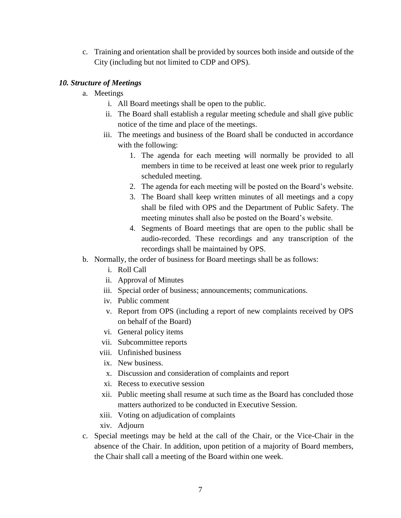c. Training and orientation shall be provided by sources both inside and outside of the City (including but not limited to CDP and OPS).

# *10. Structure of Meetings*

- a. Meetings
	- i. All Board meetings shall be open to the public.
	- ii. The Board shall establish a regular meeting schedule and shall give public notice of the time and place of the meetings.
	- iii. The meetings and business of the Board shall be conducted in accordance with the following:
		- 1. The agenda for each meeting will normally be provided to all members in time to be received at least one week prior to regularly scheduled meeting.
		- 2. The agenda for each meeting will be posted on the Board's website.
		- 3. The Board shall keep written minutes of all meetings and a copy shall be filed with OPS and the Department of Public Safety. The meeting minutes shall also be posted on the Board's website.
		- 4. Segments of Board meetings that are open to the public shall be audio-recorded. These recordings and any transcription of the recordings shall be maintained by OPS.
- b. Normally, the order of business for Board meetings shall be as follows:
	- i. Roll Call
	- ii. Approval of Minutes
	- iii. Special order of business; announcements; communications.
	- iv. Public comment
	- v. Report from OPS (including a report of new complaints received by OPS on behalf of the Board)
	- vi. General policy items
	- vii. Subcommittee reports
	- viii. Unfinished business
	- ix. New business.
	- x. Discussion and consideration of complaints and report
	- xi. Recess to executive session
	- xii. Public meeting shall resume at such time as the Board has concluded those matters authorized to be conducted in Executive Session.
	- xiii. Voting on adjudication of complaints
	- xiv. Adjourn
- c. Special meetings may be held at the call of the Chair, or the Vice-Chair in the absence of the Chair. In addition, upon petition of a majority of Board members, the Chair shall call a meeting of the Board within one week.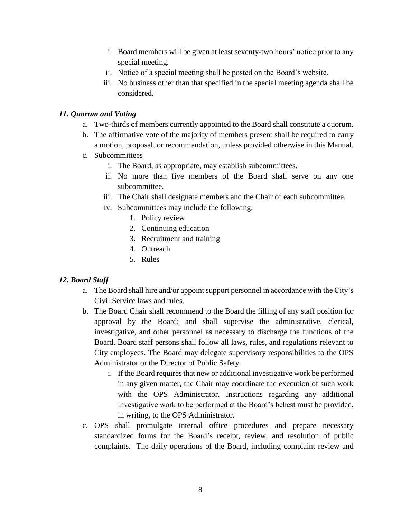- i. Board members will be given at least seventy-two hours' notice prior to any special meeting.
- ii. Notice of a special meeting shall be posted on the Board's website.
- iii. No business other than that specified in the special meeting agenda shall be considered.

## *11. Quorum and Voting*

- a. Two-thirds of members currently appointed to the Board shall constitute a quorum.
- b. The affirmative vote of the majority of members present shall be required to carry a motion, proposal, or recommendation, unless provided otherwise in this Manual.
- c. Subcommittees
	- i. The Board, as appropriate, may establish subcommittees.
	- ii. No more than five members of the Board shall serve on any one subcommittee.
	- iii. The Chair shall designate members and the Chair of each subcommittee.
	- iv. Subcommittees may include the following:
		- 1. Policy review
		- 2. Continuing education
		- 3. Recruitment and training
		- 4. Outreach
		- 5. Rules

# *12. Board Staff*

- a. The Board shall hire and/or appoint support personnel in accordance with the City's Civil Service laws and rules.
- b. The Board Chair shall recommend to the Board the filling of any staff position for approval by the Board; and shall supervise the administrative, clerical, investigative, and other personnel as necessary to discharge the functions of the Board. Board staff persons shall follow all laws, rules, and regulations relevant to City employees. The Board may delegate supervisory responsibilities to the OPS Administrator or the Director of Public Safety.
	- i. If the Board requires that new or additional investigative work be performed in any given matter, the Chair may coordinate the execution of such work with the OPS Administrator. Instructions regarding any additional investigative work to be performed at the Board's behest must be provided, in writing, to the OPS Administrator.
- c. OPS shall promulgate internal office procedures and prepare necessary standardized forms for the Board's receipt, review, and resolution of public complaints. The daily operations of the Board, including complaint review and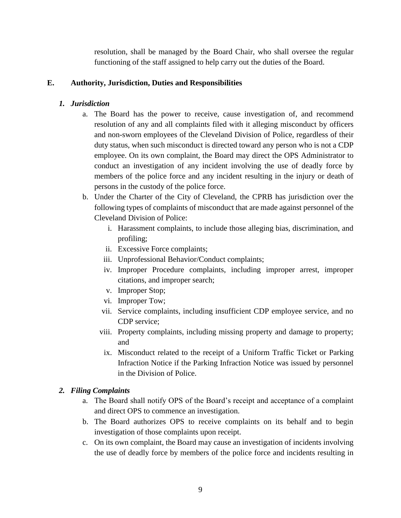resolution, shall be managed by the Board Chair, who shall oversee the regular functioning of the staff assigned to help carry out the duties of the Board.

## **E. Authority, Jurisdiction, Duties and Responsibilities**

## *1. Jurisdiction*

- a. The Board has the power to receive, cause investigation of, and recommend resolution of any and all complaints filed with it alleging misconduct by officers and non-sworn employees of the Cleveland Division of Police, regardless of their duty status, when such misconduct is directed toward any person who is not a CDP employee. On its own complaint, the Board may direct the OPS Administrator to conduct an investigation of any incident involving the use of deadly force by members of the police force and any incident resulting in the injury or death of persons in the custody of the police force.
- b. Under the Charter of the City of Cleveland, the CPRB has jurisdiction over the following types of complaints of misconduct that are made against personnel of the Cleveland Division of Police:
	- i. Harassment complaints, to include those alleging bias, discrimination, and profiling;
	- ii. Excessive Force complaints;
	- iii. Unprofessional Behavior/Conduct complaints;
	- iv. Improper Procedure complaints, including improper arrest, improper citations, and improper search;
	- v. Improper Stop;
	- vi. Improper Tow;
	- vii. Service complaints, including insufficient CDP employee service, and no CDP service;
	- viii. Property complaints, including missing property and damage to property; and
	- ix. Misconduct related to the receipt of a Uniform Traffic Ticket or Parking Infraction Notice if the Parking Infraction Notice was issued by personnel in the Division of Police.

#### *2. Filing Complaints*

- a. The Board shall notify OPS of the Board's receipt and acceptance of a complaint and direct OPS to commence an investigation.
- b. The Board authorizes OPS to receive complaints on its behalf and to begin investigation of those complaints upon receipt.
- c. On its own complaint, the Board may cause an investigation of incidents involving the use of deadly force by members of the police force and incidents resulting in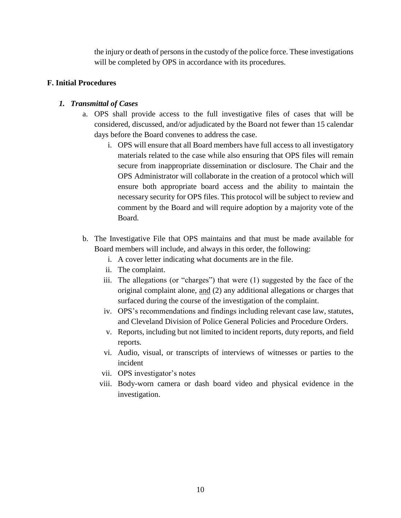the injury or death of persons in the custody of the police force. These investigations will be completed by OPS in accordance with its procedures.

## **F. Initial Procedures**

# *1. Transmittal of Cases*

- a. OPS shall provide access to the full investigative files of cases that will be considered, discussed, and/or adjudicated by the Board not fewer than 15 calendar days before the Board convenes to address the case.
	- i. OPS will ensure that all Board members have full access to all investigatory materials related to the case while also ensuring that OPS files will remain secure from inappropriate dissemination or disclosure. The Chair and the OPS Administrator will collaborate in the creation of a protocol which will ensure both appropriate board access and the ability to maintain the necessary security for OPS files. This protocol will be subject to review and comment by the Board and will require adoption by a majority vote of the Board.
- b. The Investigative File that OPS maintains and that must be made available for Board members will include, and always in this order, the following:
	- i. A cover letter indicating what documents are in the file.
	- ii. The complaint.
	- iii. The allegations (or "charges") that were (1) suggested by the face of the original complaint alone, and (2) any additional allegations or charges that surfaced during the course of the investigation of the complaint.
	- iv. OPS's recommendations and findings including relevant case law, statutes, and Cleveland Division of Police General Policies and Procedure Orders.
	- v. Reports, including but not limited to incident reports, duty reports, and field reports.
	- vi. Audio, visual, or transcripts of interviews of witnesses or parties to the incident
	- vii. OPS investigator's notes
	- viii. Body-worn camera or dash board video and physical evidence in the investigation.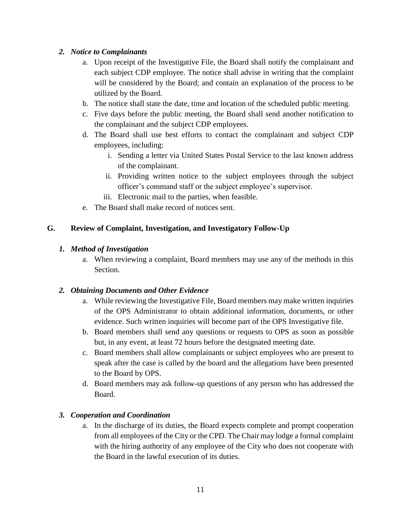# *2. Notice to Complainants*

- a. Upon receipt of the Investigative File, the Board shall notify the complainant and each subject CDP employee. The notice shall advise in writing that the complaint will be considered by the Board; and contain an explanation of the process to be utilized by the Board.
- b. The notice shall state the date, time and location of the scheduled public meeting.
- c. Five days before the public meeting, the Board shall send another notification to the complainant and the subject CDP employees.
- d. The Board shall use best efforts to contact the complainant and subject CDP employees, including:
	- i. Sending a letter via United States Postal Service to the last known address of the complainant.
	- ii. Providing written notice to the subject employees through the subject officer's command staff or the subject employee's supervisor.
	- iii. Electronic mail to the parties, when feasible.
- e. The Board shall make record of notices sent.

# **G. Review of Complaint, Investigation, and Investigatory Follow-Up**

# *1. Method of Investigation*

a. When reviewing a complaint, Board members may use any of the methods in this Section.

# *2. Obtaining Documents and Other Evidence*

- a. While reviewing the Investigative File, Board members may make written inquiries of the OPS Administrator to obtain additional information, documents, or other evidence. Such written inquiries will become part of the OPS Investigative file.
- b. Board members shall send any questions or requests to OPS as soon as possible but, in any event, at least 72 hours before the designated meeting date.
- c. Board members shall allow complainants or subject employees who are present to speak after the case is called by the board and the allegations have been presented to the Board by OPS.
- d. Board members may ask follow-up questions of any person who has addressed the Board.

# *3. Cooperation and Coordination*

a. In the discharge of its duties, the Board expects complete and prompt cooperation from all employees of the City or the CPD. The Chair may lodge a formal complaint with the hiring authority of any employee of the City who does not cooperate with the Board in the lawful execution of its duties.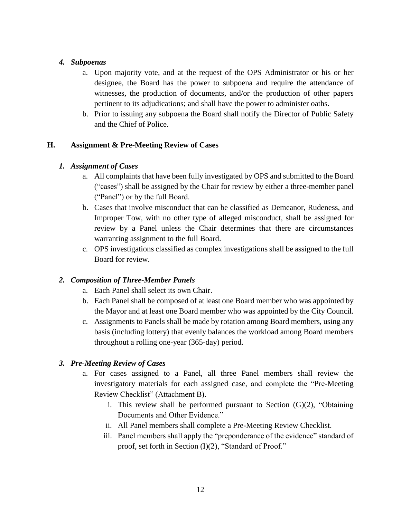#### *4. Subpoenas*

- a. Upon majority vote, and at the request of the OPS Administrator or his or her designee, the Board has the power to subpoena and require the attendance of witnesses, the production of documents, and/or the production of other papers pertinent to its adjudications; and shall have the power to administer oaths.
- b. Prior to issuing any subpoena the Board shall notify the Director of Public Safety and the Chief of Police.

# **H. Assignment & Pre-Meeting Review of Cases**

# *1. Assignment of Cases*

- a. All complaints that have been fully investigated by OPS and submitted to the Board ("cases") shall be assigned by the Chair for review by either a three-member panel ("Panel") or by the full Board.
- b. Cases that involve misconduct that can be classified as Demeanor, Rudeness, and Improper Tow, with no other type of alleged misconduct, shall be assigned for review by a Panel unless the Chair determines that there are circumstances warranting assignment to the full Board.
- c. OPS investigations classified as complex investigations shall be assigned to the full Board for review.

# *2. Composition of Three-Member Panels*

- a. Each Panel shall select its own Chair.
- b. Each Panel shall be composed of at least one Board member who was appointed by the Mayor and at least one Board member who was appointed by the City Council.
- c. Assignments to Panels shall be made by rotation among Board members, using any basis (including lottery) that evenly balances the workload among Board members throughout a rolling one-year (365-day) period.

# *3. Pre-Meeting Review of Cases*

- a. For cases assigned to a Panel, all three Panel members shall review the investigatory materials for each assigned case, and complete the "Pre-Meeting Review Checklist" (Attachment B).
	- i. This review shall be performed pursuant to Section  $(G)(2)$ , "Obtaining Documents and Other Evidence."
	- ii. All Panel members shall complete a Pre-Meeting Review Checklist.
	- iii. Panel members shall apply the "preponderance of the evidence" standard of proof, set forth in Section (I)(2), "Standard of Proof."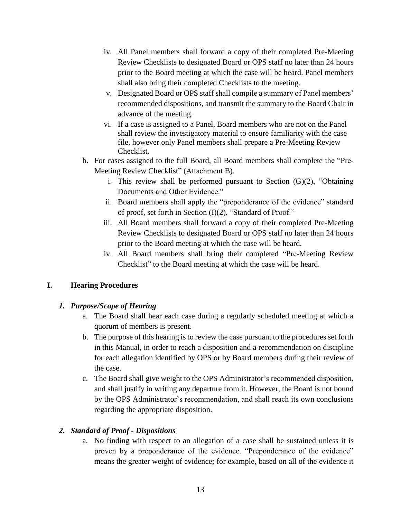- iv. All Panel members shall forward a copy of their completed Pre-Meeting Review Checklists to designated Board or OPS staff no later than 24 hours prior to the Board meeting at which the case will be heard. Panel members shall also bring their completed Checklists to the meeting.
- v. Designated Board or OPS staff shall compile a summary of Panel members' recommended dispositions, and transmit the summary to the Board Chair in advance of the meeting.
- vi. If a case is assigned to a Panel, Board members who are not on the Panel shall review the investigatory material to ensure familiarity with the case file, however only Panel members shall prepare a Pre-Meeting Review Checklist.
- b. For cases assigned to the full Board, all Board members shall complete the "Pre-Meeting Review Checklist" (Attachment B).
	- i. This review shall be performed pursuant to Section  $(G)(2)$ , "Obtaining Documents and Other Evidence."
	- ii. Board members shall apply the "preponderance of the evidence" standard of proof, set forth in Section (I)(2), "Standard of Proof."
	- iii. All Board members shall forward a copy of their completed Pre-Meeting Review Checklists to designated Board or OPS staff no later than 24 hours prior to the Board meeting at which the case will be heard.
	- iv. All Board members shall bring their completed "Pre-Meeting Review Checklist" to the Board meeting at which the case will be heard.

# **I. Hearing Procedures**

# *1. Purpose/Scope of Hearing*

- a. The Board shall hear each case during a regularly scheduled meeting at which a quorum of members is present.
- b. The purpose of this hearing is to review the case pursuant to the procedures set forth in this Manual, in order to reach a disposition and a recommendation on discipline for each allegation identified by OPS or by Board members during their review of the case.
- c. The Board shall give weight to the OPS Administrator's recommended disposition, and shall justify in writing any departure from it. However, the Board is not bound by the OPS Administrator's recommendation, and shall reach its own conclusions regarding the appropriate disposition.

# *2. Standard of Proof - Dispositions*

a. No finding with respect to an allegation of a case shall be sustained unless it is proven by a preponderance of the evidence. "Preponderance of the evidence" means the greater weight of evidence; for example, based on all of the evidence it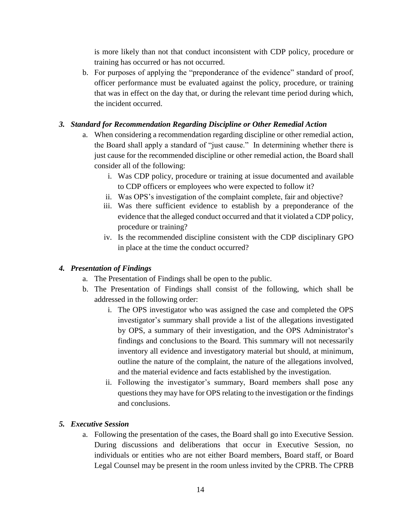is more likely than not that conduct inconsistent with CDP policy, procedure or training has occurred or has not occurred.

b. For purposes of applying the "preponderance of the evidence" standard of proof, officer performance must be evaluated against the policy, procedure, or training that was in effect on the day that, or during the relevant time period during which, the incident occurred.

# *3. Standard for Recommendation Regarding Discipline or Other Remedial Action*

- a. When considering a recommendation regarding discipline or other remedial action, the Board shall apply a standard of "just cause." In determining whether there is just cause for the recommended discipline or other remedial action, the Board shall consider all of the following:
	- i. Was CDP policy, procedure or training at issue documented and available to CDP officers or employees who were expected to follow it?
	- ii. Was OPS's investigation of the complaint complete, fair and objective?
	- iii. Was there sufficient evidence to establish by a preponderance of the evidence that the alleged conduct occurred and that it violated a CDP policy, procedure or training?
	- iv. Is the recommended discipline consistent with the CDP disciplinary GPO in place at the time the conduct occurred?

# *4. Presentation of Findings*

- a. The Presentation of Findings shall be open to the public.
- b. The Presentation of Findings shall consist of the following, which shall be addressed in the following order:
	- i. The OPS investigator who was assigned the case and completed the OPS investigator's summary shall provide a list of the allegations investigated by OPS, a summary of their investigation, and the OPS Administrator's findings and conclusions to the Board. This summary will not necessarily inventory all evidence and investigatory material but should, at minimum, outline the nature of the complaint, the nature of the allegations involved, and the material evidence and facts established by the investigation.
	- ii. Following the investigator's summary, Board members shall pose any questions they may have for OPS relating to the investigation or the findings and conclusions.

#### *5. Executive Session*

a. Following the presentation of the cases, the Board shall go into Executive Session. During discussions and deliberations that occur in Executive Session, no individuals or entities who are not either Board members, Board staff, or Board Legal Counsel may be present in the room unless invited by the CPRB. The CPRB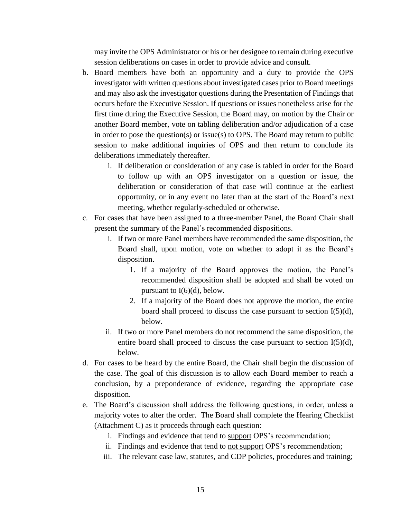may invite the OPS Administrator or his or her designee to remain during executive session deliberations on cases in order to provide advice and consult.

- b. Board members have both an opportunity and a duty to provide the OPS investigator with written questions about investigated cases prior to Board meetings and may also ask the investigator questions during the Presentation of Findings that occurs before the Executive Session. If questions or issues nonetheless arise for the first time during the Executive Session, the Board may, on motion by the Chair or another Board member, vote on tabling deliberation and/or adjudication of a case in order to pose the question(s) or issue(s) to OPS. The Board may return to public session to make additional inquiries of OPS and then return to conclude its deliberations immediately thereafter.
	- i. If deliberation or consideration of any case is tabled in order for the Board to follow up with an OPS investigator on a question or issue, the deliberation or consideration of that case will continue at the earliest opportunity, or in any event no later than at the start of the Board's next meeting, whether regularly-scheduled or otherwise.
- c. For cases that have been assigned to a three-member Panel, the Board Chair shall present the summary of the Panel's recommended dispositions.
	- i. If two or more Panel members have recommended the same disposition, the Board shall, upon motion, vote on whether to adopt it as the Board's disposition.
		- 1. If a majority of the Board approves the motion, the Panel's recommended disposition shall be adopted and shall be voted on pursuant to  $I(6)(d)$ , below.
		- 2. If a majority of the Board does not approve the motion, the entire board shall proceed to discuss the case pursuant to section I(5)(d), below.
	- ii. If two or more Panel members do not recommend the same disposition, the entire board shall proceed to discuss the case pursuant to section I(5)(d), below.
- d. For cases to be heard by the entire Board, the Chair shall begin the discussion of the case. The goal of this discussion is to allow each Board member to reach a conclusion, by a preponderance of evidence, regarding the appropriate case disposition.
- e. The Board's discussion shall address the following questions, in order, unless a majority votes to alter the order. The Board shall complete the Hearing Checklist (Attachment C) as it proceeds through each question:
	- i. Findings and evidence that tend to support OPS's recommendation;
	- ii. Findings and evidence that tend to not support OPS's recommendation;
	- iii. The relevant case law, statutes, and CDP policies, procedures and training;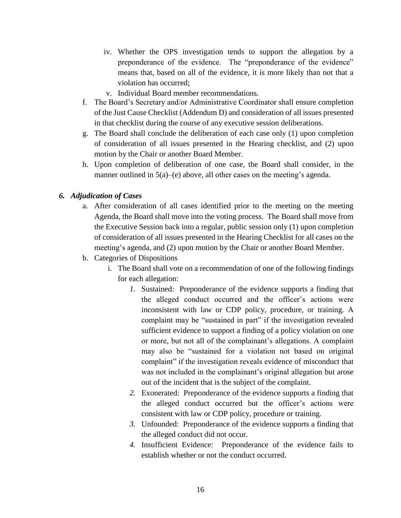- iv. Whether the OPS investigation tends to support the allegation by a preponderance of the evidence. The "preponderance of the evidence" means that, based on all of the evidence, it is more likely than not that a violation has occurred;
- v. Individual Board member recommendations.
- f. The Board's Secretary and/or Administrative Coordinator shall ensure completion of the Just Cause Checklist (Addendum D) and consideration of all issues presented in that checklist during the course of any executive session deliberations.
- g. The Board shall conclude the deliberation of each case only (1) upon completion of consideration of all issues presented in the Hearing checklist, and (2) upon motion by the Chair or another Board Member.
- h. Upon completion of deliberation of one case, the Board shall consider, in the manner outlined in 5(a)–(e) above, all other cases on the meeting's agenda.

#### *6. Adjudication of Cases*

- a. After consideration of all cases identified prior to the meeting on the meeting Agenda, the Board shall move into the voting process. The Board shall move from the Executive Session back into a regular, public session only (1) upon completion of consideration of all issues presented in the Hearing Checklist for all cases on the meeting's agenda, and (2) upon motion by the Chair or another Board Member.
- b. Categories of Dispositions
	- i. The Board shall vote on a recommendation of one of the following findings for each allegation:
		- *1.* Sustained: Preponderance of the evidence supports a finding that the alleged conduct occurred and the officer's actions were inconsistent with law or CDP policy, procedure, or training. A complaint may be "sustained in part" if the investigation revealed sufficient evidence to support a finding of a policy violation on one or more, but not all of the complainant's allegations. A complaint may also be "sustained for a violation not based on original complaint" if the investigation reveals evidence of misconduct that was not included in the complainant's original allegation but arose out of the incident that is the subject of the complaint.
		- *2.* Exonerated: Preponderance of the evidence supports a finding that the alleged conduct occurred but the officer's actions were consistent with law or CDP policy, procedure or training.
		- *3.* Unfounded: Preponderance of the evidence supports a finding that the alleged conduct did not occur.
		- *4.* Insufficient Evidence: Preponderance of the evidence fails to establish whether or not the conduct occurred.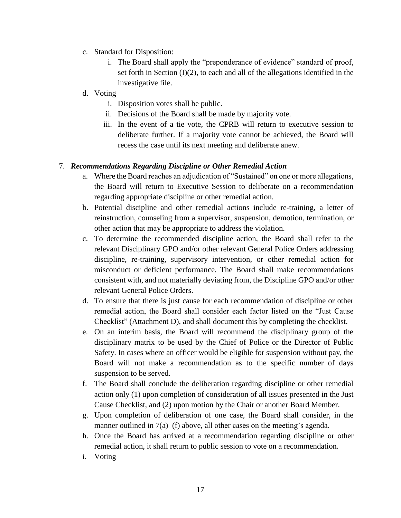- c. Standard for Disposition:
	- i. The Board shall apply the "preponderance of evidence" standard of proof, set forth in Section  $(I)(2)$ , to each and all of the allegations identified in the investigative file.
- d. Voting
	- i. Disposition votes shall be public.
	- ii. Decisions of the Board shall be made by majority vote.
	- iii. In the event of a tie vote, the CPRB will return to executive session to deliberate further. If a majority vote cannot be achieved, the Board will recess the case until its next meeting and deliberate anew.

# 7. *Recommendations Regarding Discipline or Other Remedial Action*

- a. Where the Board reaches an adjudication of "Sustained" on one or more allegations, the Board will return to Executive Session to deliberate on a recommendation regarding appropriate discipline or other remedial action.
- b. Potential discipline and other remedial actions include re-training, a letter of reinstruction, counseling from a supervisor, suspension, demotion, termination, or other action that may be appropriate to address the violation.
- c. To determine the recommended discipline action, the Board shall refer to the relevant Disciplinary GPO and/or other relevant General Police Orders addressing discipline, re-training, supervisory intervention, or other remedial action for misconduct or deficient performance. The Board shall make recommendations consistent with, and not materially deviating from, the Discipline GPO and/or other relevant General Police Orders.
- d. To ensure that there is just cause for each recommendation of discipline or other remedial action, the Board shall consider each factor listed on the "Just Cause Checklist" (Attachment D), and shall document this by completing the checklist.
- e. On an interim basis, the Board will recommend the disciplinary group of the disciplinary matrix to be used by the Chief of Police or the Director of Public Safety. In cases where an officer would be eligible for suspension without pay, the Board will not make a recommendation as to the specific number of days suspension to be served.
- f. The Board shall conclude the deliberation regarding discipline or other remedial action only (1) upon completion of consideration of all issues presented in the Just Cause Checklist, and (2) upon motion by the Chair or another Board Member.
- g. Upon completion of deliberation of one case, the Board shall consider, in the manner outlined in 7(a)–(f) above, all other cases on the meeting's agenda.
- h. Once the Board has arrived at a recommendation regarding discipline or other remedial action, it shall return to public session to vote on a recommendation.
- i. Voting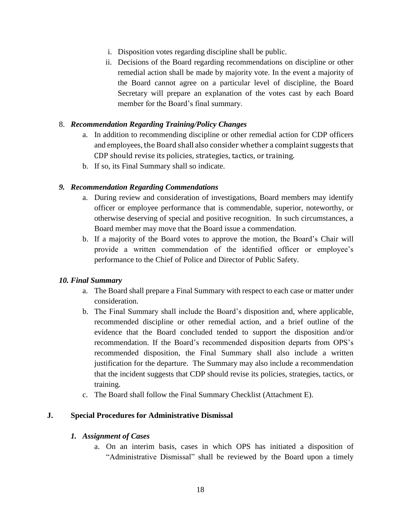- i. Disposition votes regarding discipline shall be public.
- ii. Decisions of the Board regarding recommendations on discipline or other remedial action shall be made by majority vote. In the event a majority of the Board cannot agree on a particular level of discipline, the Board Secretary will prepare an explanation of the votes cast by each Board member for the Board's final summary.

#### 8. *Recommendation Regarding Training/Policy Changes*

- a. In addition to recommending discipline or other remedial action for CDP officers and employees, the Board shall also consider whether a complaint suggests that CDP should revise its policies, strategies, tactics, or training.
- b. If so, its Final Summary shall so indicate.

#### *9. Recommendation Regarding Commendations*

- a. During review and consideration of investigations, Board members may identify officer or employee performance that is commendable, superior, noteworthy, or otherwise deserving of special and positive recognition. In such circumstances, a Board member may move that the Board issue a commendation.
- b. If a majority of the Board votes to approve the motion, the Board's Chair will provide a written commendation of the identified officer or employee's performance to the Chief of Police and Director of Public Safety.

#### *10. Final Summary*

- a. The Board shall prepare a Final Summary with respect to each case or matter under consideration.
- b. The Final Summary shall include the Board's disposition and, where applicable, recommended discipline or other remedial action, and a brief outline of the evidence that the Board concluded tended to support the disposition and/or recommendation. If the Board's recommended disposition departs from OPS's recommended disposition, the Final Summary shall also include a written justification for the departure. The Summary may also include a recommendation that the incident suggests that CDP should revise its policies, strategies, tactics, or training.
- c. The Board shall follow the Final Summary Checklist (Attachment E).

#### **J. Special Procedures for Administrative Dismissal**

#### *1. Assignment of Cases*

a. On an interim basis, cases in which OPS has initiated a disposition of "Administrative Dismissal" shall be reviewed by the Board upon a timely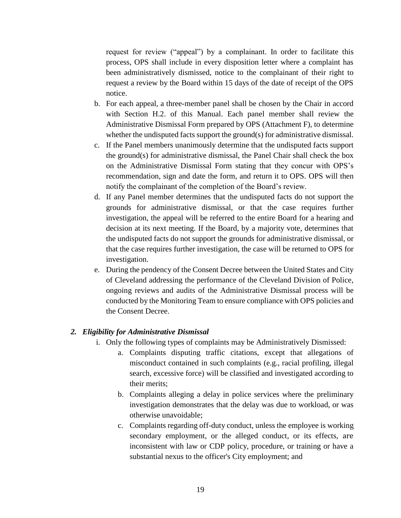request for review ("appeal") by a complainant. In order to facilitate this process, OPS shall include in every disposition letter where a complaint has been administratively dismissed, notice to the complainant of their right to request a review by the Board within 15 days of the date of receipt of the OPS notice.

- b. For each appeal, a three-member panel shall be chosen by the Chair in accord with Section H.2. of this Manual. Each panel member shall review the Administrative Dismissal Form prepared by OPS (Attachment F), to determine whether the undisputed facts support the ground(s) for administrative dismissal.
- c. If the Panel members unanimously determine that the undisputed facts support the ground(s) for administrative dismissal, the Panel Chair shall check the box on the Administrative Dismissal Form stating that they concur with OPS's recommendation, sign and date the form, and return it to OPS. OPS will then notify the complainant of the completion of the Board's review.
- d. If any Panel member determines that the undisputed facts do not support the grounds for administrative dismissal, or that the case requires further investigation, the appeal will be referred to the entire Board for a hearing and decision at its next meeting. If the Board, by a majority vote, determines that the undisputed facts do not support the grounds for administrative dismissal, or that the case requires further investigation, the case will be returned to OPS for investigation.
- e. During the pendency of the Consent Decree between the United States and City of Cleveland addressing the performance of the Cleveland Division of Police, ongoing reviews and audits of the Administrative Dismissal process will be conducted by the Monitoring Team to ensure compliance with OPS policies and the Consent Decree.

#### *2. Eligibility for Administrative Dismissal*

- i. Only the following types of complaints may be Administratively Dismissed:
	- a. Complaints disputing traffic citations, except that allegations of misconduct contained in such complaints (e.g., racial profiling, illegal search, excessive force) will be classified and investigated according to their merits;
	- b. Complaints alleging a delay in police services where the preliminary investigation demonstrates that the delay was due to workload, or was otherwise unavoidable;
	- c. Complaints regarding off-duty conduct, unless the employee is working secondary employment, or the alleged conduct, or its effects, are inconsistent with law or CDP policy, procedure, or training or have a substantial nexus to the officer's City employment; and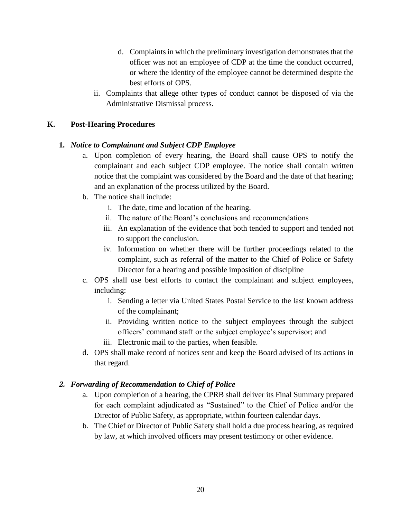- d. Complaints in which the preliminary investigation demonstrates that the officer was not an employee of CDP at the time the conduct occurred, or where the identity of the employee cannot be determined despite the best efforts of OPS.
- ii. Complaints that allege other types of conduct cannot be disposed of via the Administrative Dismissal process.

# **K. Post-Hearing Procedures**

#### **1.** *Notice to Complainant and Subject CDP Employee*

- a. Upon completion of every hearing, the Board shall cause OPS to notify the complainant and each subject CDP employee. The notice shall contain written notice that the complaint was considered by the Board and the date of that hearing; and an explanation of the process utilized by the Board.
- b. The notice shall include:
	- i. The date, time and location of the hearing.
	- ii. The nature of the Board's conclusions and recommendations
	- iii. An explanation of the evidence that both tended to support and tended not to support the conclusion.
	- iv. Information on whether there will be further proceedings related to the complaint, such as referral of the matter to the Chief of Police or Safety Director for a hearing and possible imposition of discipline
- c. OPS shall use best efforts to contact the complainant and subject employees, including:
	- i. Sending a letter via United States Postal Service to the last known address of the complainant;
	- ii. Providing written notice to the subject employees through the subject officers' command staff or the subject employee's supervisor; and
	- iii. Electronic mail to the parties, when feasible.
- d. OPS shall make record of notices sent and keep the Board advised of its actions in that regard.

#### *2. Forwarding of Recommendation to Chief of Police*

- a. Upon completion of a hearing, the CPRB shall deliver its Final Summary prepared for each complaint adjudicated as "Sustained" to the Chief of Police and/or the Director of Public Safety, as appropriate, within fourteen calendar days.
- b. The Chief or Director of Public Safety shall hold a due process hearing, as required by law, at which involved officers may present testimony or other evidence.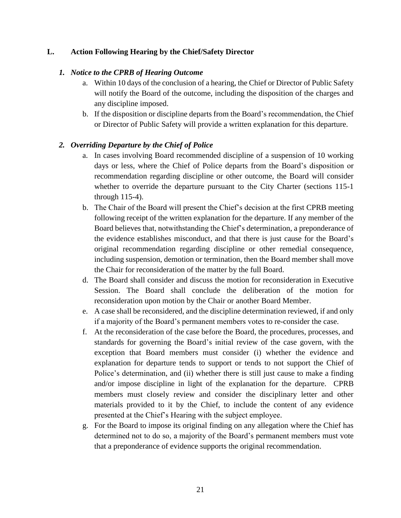#### **L. Action Following Hearing by the Chief/Safety Director**

#### *1. Notice to the CPRB of Hearing Outcome*

- a. Within 10 days of the conclusion of a hearing, the Chief or Director of Public Safety will notify the Board of the outcome, including the disposition of the charges and any discipline imposed.
- b. If the disposition or discipline departs from the Board's recommendation, the Chief or Director of Public Safety will provide a written explanation for this departure.

#### *2. Overriding Departure by the Chief of Police*

- a. In cases involving Board recommended discipline of a suspension of 10 working days or less, where the Chief of Police departs from the Board's disposition or recommendation regarding discipline or other outcome, the Board will consider whether to override the departure pursuant to the City Charter (sections 115-1 through 115-4).
- b. The Chair of the Board will present the Chief's decision at the first CPRB meeting following receipt of the written explanation for the departure. If any member of the Board believes that, notwithstanding the Chief's determination, a preponderance of the evidence establishes misconduct, and that there is just cause for the Board's original recommendation regarding discipline or other remedial consequence, including suspension, demotion or termination, then the Board member shall move the Chair for reconsideration of the matter by the full Board.
- d. The Board shall consider and discuss the motion for reconsideration in Executive Session. The Board shall conclude the deliberation of the motion for reconsideration upon motion by the Chair or another Board Member.
- e. A case shall be reconsidered, and the discipline determination reviewed, if and only if a majority of the Board's permanent members votes to re-consider the case.
- f. At the reconsideration of the case before the Board, the procedures, processes, and standards for governing the Board's initial review of the case govern, with the exception that Board members must consider (i) whether the evidence and explanation for departure tends to support or tends to not support the Chief of Police's determination, and (ii) whether there is still just cause to make a finding and/or impose discipline in light of the explanation for the departure. CPRB members must closely review and consider the disciplinary letter and other materials provided to it by the Chief, to include the content of any evidence presented at the Chief's Hearing with the subject employee.
- g. For the Board to impose its original finding on any allegation where the Chief has determined not to do so, a majority of the Board's permanent members must vote that a preponderance of evidence supports the original recommendation.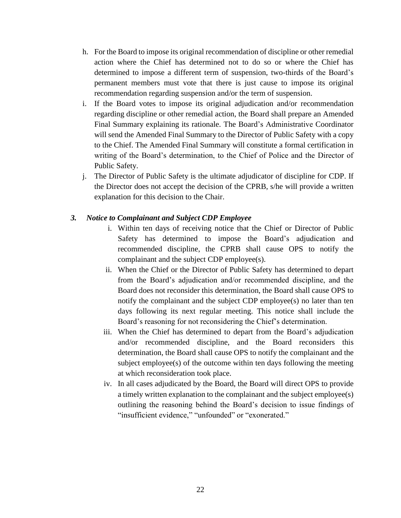- h. For the Board to impose its original recommendation of discipline or other remedial action where the Chief has determined not to do so or where the Chief has determined to impose a different term of suspension, two-thirds of the Board's permanent members must vote that there is just cause to impose its original recommendation regarding suspension and/or the term of suspension.
- i. If the Board votes to impose its original adjudication and/or recommendation regarding discipline or other remedial action, the Board shall prepare an Amended Final Summary explaining its rationale. The Board's Administrative Coordinator will send the Amended Final Summary to the Director of Public Safety with a copy to the Chief. The Amended Final Summary will constitute a formal certification in writing of the Board's determination, to the Chief of Police and the Director of Public Safety.
- j. The Director of Public Safety is the ultimate adjudicator of discipline for CDP. If the Director does not accept the decision of the CPRB, s/he will provide a written explanation for this decision to the Chair.

#### *3. Notice to Complainant and Subject CDP Employee*

- i. Within ten days of receiving notice that the Chief or Director of Public Safety has determined to impose the Board's adjudication and recommended discipline, the CPRB shall cause OPS to notify the complainant and the subject CDP employee(s).
- ii. When the Chief or the Director of Public Safety has determined to depart from the Board's adjudication and/or recommended discipline, and the Board does not reconsider this determination, the Board shall cause OPS to notify the complainant and the subject CDP employee(s) no later than ten days following its next regular meeting. This notice shall include the Board's reasoning for not reconsidering the Chief's determination.
- iii. When the Chief has determined to depart from the Board's adjudication and/or recommended discipline, and the Board reconsiders this determination, the Board shall cause OPS to notify the complainant and the subject employee(s) of the outcome within ten days following the meeting at which reconsideration took place.
- iv. In all cases adjudicated by the Board, the Board will direct OPS to provide a timely written explanation to the complainant and the subject employee(s) outlining the reasoning behind the Board's decision to issue findings of "insufficient evidence," "unfounded" or "exonerated."